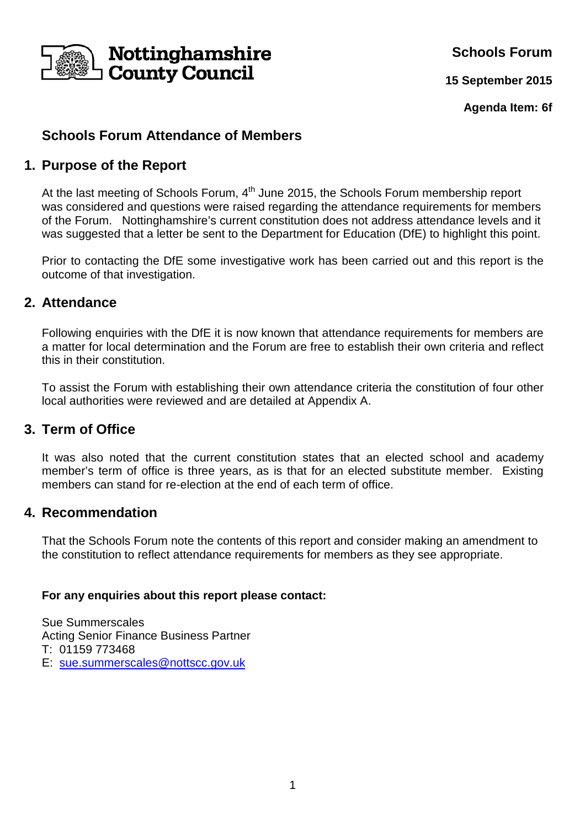

**Schools Forum**

**15 September 2015**

**Agenda Item: 6f**

# **Schools Forum Attendance of Members**

# **1. Purpose of the Report**

At the last meeting of Schools Forum, 4<sup>th</sup> June 2015, the Schools Forum membership report was considered and questions were raised regarding the attendance requirements for members of the Forum. Nottinghamshire's current constitution does not address attendance levels and it was suggested that a letter be sent to the Department for Education (DfE) to highlight this point.

Prior to contacting the DfE some investigative work has been carried out and this report is the outcome of that investigation.

## **2. Attendance**

Following enquiries with the DfE it is now known that attendance requirements for members are a matter for local determination and the Forum are free to establish their own criteria and reflect this in their constitution.

To assist the Forum with establishing their own attendance criteria the constitution of four other local authorities were reviewed and are detailed at Appendix A.

### **3. Term of Office**

It was also noted that the current constitution states that an elected school and academy member's term of office is three years, as is that for an elected substitute member. Existing members can stand for re-election at the end of each term of office.

### **4. Recommendation**

That the Schools Forum note the contents of this report and consider making an amendment to the constitution to reflect attendance requirements for members as they see appropriate.

#### **For any enquiries about this report please contact:**

Sue Summerscales Acting Senior Finance Business Partner T: 01159 773468 E: sue.summerscales@nottscc.gov.uk